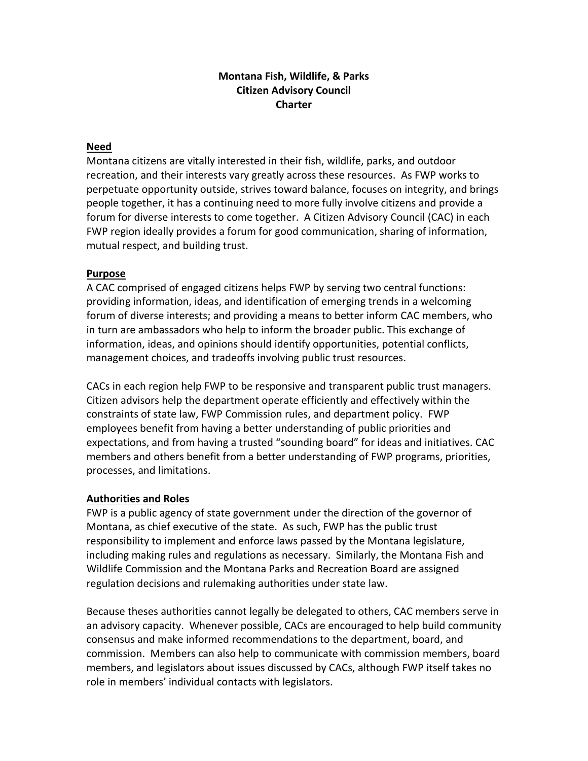# **Montana Fish, Wildlife, & Parks Citizen Advisory Council Charter**

### **Need**

Montana citizens are vitally interested in their fish, wildlife, parks, and outdoor recreation, and their interests vary greatly across these resources. As FWP works to perpetuate opportunity outside, strives toward balance, focuses on integrity, and brings people together, it has a continuing need to more fully involve citizens and provide a forum for diverse interests to come together. A Citizen Advisory Council (CAC) in each FWP region ideally provides a forum for good communication, sharing of information, mutual respect, and building trust.

### **Purpose**

A CAC comprised of engaged citizens helps FWP by serving two central functions: providing information, ideas, and identification of emerging trends in a welcoming forum of diverse interests; and providing a means to better inform CAC members, who in turn are ambassadors who help to inform the broader public. This exchange of information, ideas, and opinions should identify opportunities, potential conflicts, management choices, and tradeoffs involving public trust resources.

CACs in each region help FWP to be responsive and transparent public trust managers. Citizen advisors help the department operate efficiently and effectively within the constraints of state law, FWP Commission rules, and department policy. FWP employees benefit from having a better understanding of public priorities and expectations, and from having a trusted "sounding board" for ideas and initiatives. CAC members and others benefit from a better understanding of FWP programs, priorities, processes, and limitations.

## **Authorities and Roles**

FWP is a public agency of state government under the direction of the governor of Montana, as chief executive of the state. As such, FWP has the public trust responsibility to implement and enforce laws passed by the Montana legislature, including making rules and regulations as necessary. Similarly, the Montana Fish and Wildlife Commission and the Montana Parks and Recreation Board are assigned regulation decisions and rulemaking authorities under state law.

Because theses authorities cannot legally be delegated to others, CAC members serve in an advisory capacity. Whenever possible, CACs are encouraged to help build community consensus and make informed recommendations to the department, board, and commission. Members can also help to communicate with commission members, board members, and legislators about issues discussed by CACs, although FWP itself takes no role in members' individual contacts with legislators.